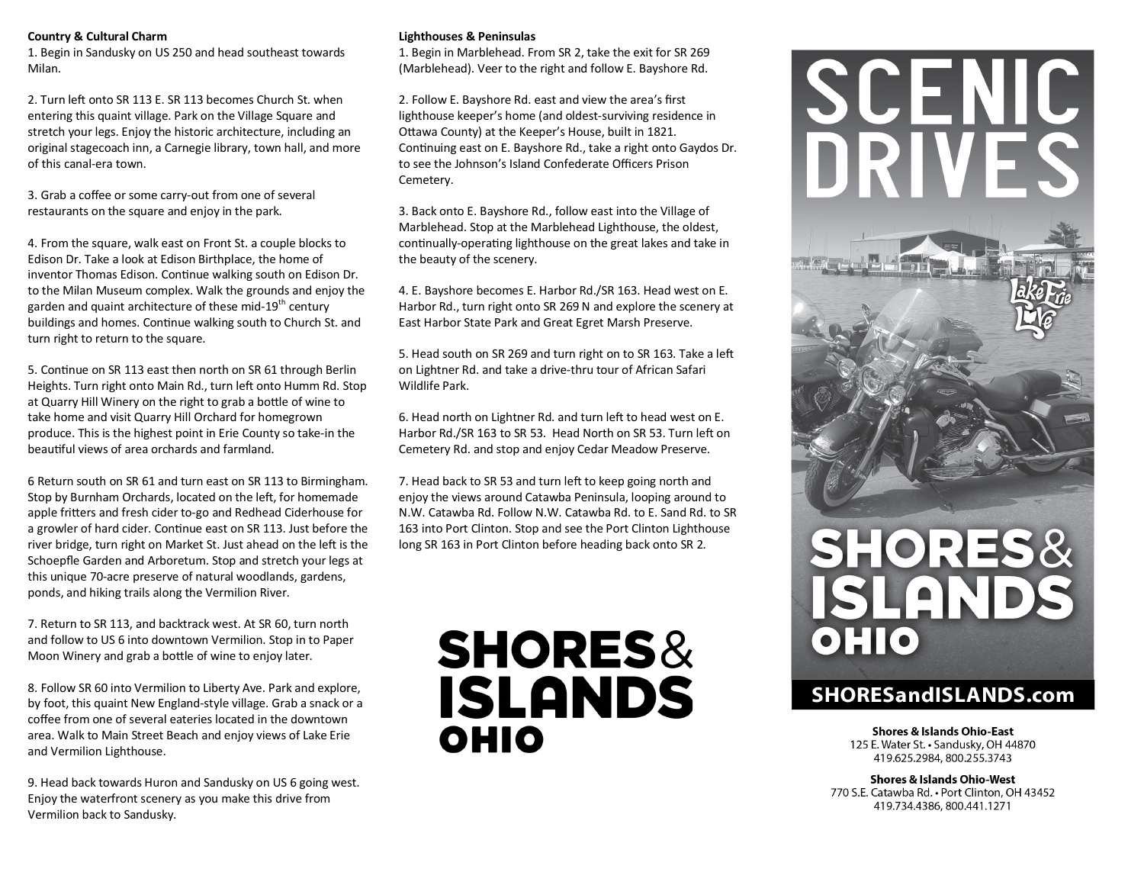## **Country & Cultural Charm**

1. Begin in Sandusky on US 250 and head southeast towards Milan.

2. Turn left onto SR 113 E. SR 113 becomes Church St. when entering this quaint village. Park on the Village Square and stretch your legs. Enjoy the historic architecture, including an original stagecoach inn, a Carnegie library, town hall, and more of this canal-era town.

3. Grab a coffee or some carry-out from one of several restaurants on the square and enjoy in the park.

4. From the square, walk east on Front St. a couple blocks to Edison Dr. Take a look at Edison Birthplace, the home of inventor Thomas Edison. Continue walking south on Edison Dr. to the Milan Museum complex. Walk the grounds and enjoy the garden and quaint architecture of these mid-19<sup>th</sup> century buildings and homes. Continue walking south to Church St. and turn right to return to the square.

5. Continue on SR 113 east then north on SR 61 through Berlin Heights. Turn right onto Main Rd., turn left onto Humm Rd. Stop at Quarry Hill Winery on the right to grab a bottle of wine to take home and visit Quarry Hill Orchard for homegrown produce. This is the highest point in Erie County so take-in the beautiful views of area orchards and farmland.

6 Return south on SR 61 and turn east on SR 113 to Birmingham. Stop by Burnham Orchards, located on the left, for homemade apple fritters and fresh cider to-go and Redhead Ciderhouse for a growler of hard cider. Continue east on SR 113. Just before the river bridge, turn right on Market St. Just ahead on the left is the Schoepfle Garden and Arboretum. Stop and stretch your legs at this unique 70-acre preserve of natural woodlands, gardens, ponds, and hiking trails along the Vermilion River.

7. Return to SR 113, and backtrack west. At SR 60, turn north and follow to US 6 into downtown Vermilion. Stop in to Paper Moon Winery and grab a bottle of wine to enjoy later.

8. Follow SR 60 into Vermilion to Liberty Ave. Park and explore, by foot, this quaint New England-style village. Grab a snack or a coffee from one of several eateries located in the downtown area. Walk to Main Street Beach and enjoy views of Lake Erie and Vermilion Lighthouse.

9. Head back towards Huron and Sandusky on US 6 going west. Enjoy the waterfront scenery as you make this drive from Vermilion back to Sandusky.

## **Lighthouses & Peninsulas**

1. Begin in Marblehead. From SR 2, take the exit for SR 269 (Marblehead). Veer to the right and follow E. Bayshore Rd.

2. Follow E. Bayshore Rd. east and view the area's first lighthouse keeper's home (and oldest-surviving residence in Ottawa County) at the Keeper's House, built in 1821. Continuing east on E. Bayshore Rd., take a right onto Gaydos Dr. to see the Johnson's Island Confederate Officers Prison Cemetery.

3. Back onto E. Bayshore Rd., follow east into the Village of Marblehead. Stop at the Marblehead Lighthouse, the oldest, continually-operating lighthouse on the great lakes and take in the beauty of the scenery.

4. E. Bayshore becomes E. Harbor Rd./SR 163. Head west on E. Harbor Rd., turn right onto SR 269 N and explore the scenery at East Harbor State Park and Great Egret Marsh Preserve.

5. Head south on SR 269 and turn right on to SR 163. Take a left on Lightner Rd. and take a drive-thru tour of African Safari Wildlife Park.

6. Head north on Lightner Rd. and turn left to head west on E. Harbor Rd./SR 163 to SR 53. Head North on SR 53. Turn left on Cemetery Rd. and stop and enjoy Cedar Meadow Preserve.

7. Head back to SR 53 and turn left to keep going north and enjoy the views around Catawba Peninsula, looping around to N.W. Catawba Rd. Follow N.W. Catawba Rd. to E. Sand Rd. to SR 163 into Port Clinton. Stop and see the Port Clinton Lighthouse long SR 163 in Port Clinton before heading back onto SR 2.

# **SHORES& ISLANDS** OHIO



## **SHORESandISLANDS.com**

**Shores & Islands Ohio-East** 125 E. Water St. • Sandusky, OH 44870 419.625.2984, 800.255.3743

**Shores & Islands Ohio-West** 770 S.E. Catawba Rd. . Port Clinton, OH 43452 419.734.4386, 800.441.1271